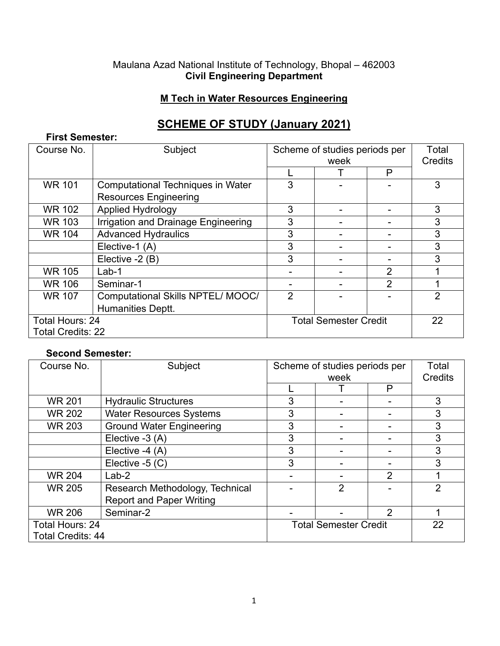#### Maulana Azad National Institute of Technology, Bhopal – 462003 **Civil Engineering Department**

### **M Tech in Water Resources Engineering**

# **SCHEME OF STUDY (January 2021)**

#### **First Semester:**

| Course No.               | Subject                             | Scheme of studies periods per<br>week |  | Total<br>Credits |                |
|--------------------------|-------------------------------------|---------------------------------------|--|------------------|----------------|
|                          |                                     |                                       |  | P                |                |
| <b>WR 101</b>            | Computational Techniques in Water   | 3                                     |  |                  | 3              |
|                          | <b>Resources Engineering</b>        |                                       |  |                  |                |
| WR 102                   | Applied Hydrology                   | 3                                     |  |                  | 3              |
| <b>WR 103</b>            | Irrigation and Drainage Engineering | 3                                     |  |                  | 3              |
| <b>WR 104</b>            | <b>Advanced Hydraulics</b>          | 3                                     |  |                  | 3              |
|                          | Elective-1 (A)                      | 3                                     |  |                  | 3              |
|                          | Elective -2 (B)                     | 3                                     |  |                  | 3              |
| <b>WR 105</b>            | $Lab-1$                             |                                       |  | $\overline{2}$   |                |
| <b>WR 106</b>            | Seminar-1                           |                                       |  | $\overline{2}$   |                |
| <b>WR 107</b>            | Computational Skills NPTEL/MOOC/    | $\overline{2}$                        |  |                  | $\overline{2}$ |
|                          | <b>Humanities Deptt.</b>            |                                       |  |                  |                |
| Total Hours: 24          |                                     | <b>Total Semester Credit</b>          |  |                  | 22             |
| <b>Total Credits: 22</b> |                                     |                                       |  |                  |                |

### **Second Semester:**

| Course No.               | Subject                         | Scheme of studies periods per |                | Total          |                |
|--------------------------|---------------------------------|-------------------------------|----------------|----------------|----------------|
|                          |                                 | week                          |                | Credits        |                |
|                          |                                 |                               |                | P              |                |
| <b>WR 201</b>            | <b>Hydraulic Structures</b>     | 3                             |                |                | 3              |
| <b>WR 202</b>            | <b>Water Resources Systems</b>  | 3                             |                |                | 3              |
| <b>WR 203</b>            | <b>Ground Water Engineering</b> | 3                             |                |                | 3              |
|                          | Elective -3 (A)                 | 3                             |                |                | 3              |
|                          | Elective -4 (A)                 | 3                             |                |                | 3              |
|                          | Elective $-5$ (C)               | 3                             |                |                | 3              |
| <b>WR 204</b>            | $Lab-2$                         |                               |                | $\overline{2}$ |                |
| <b>WR 205</b>            | Research Methodology, Technical |                               | $\overline{2}$ |                | $\overline{2}$ |
|                          | <b>Report and Paper Writing</b> |                               |                |                |                |
| <b>WR 206</b>            | Seminar-2                       |                               |                | $\overline{2}$ |                |
| Total Hours: 24          |                                 | <b>Total Semester Credit</b>  |                |                | 22             |
| <b>Total Credits: 44</b> |                                 |                               |                |                |                |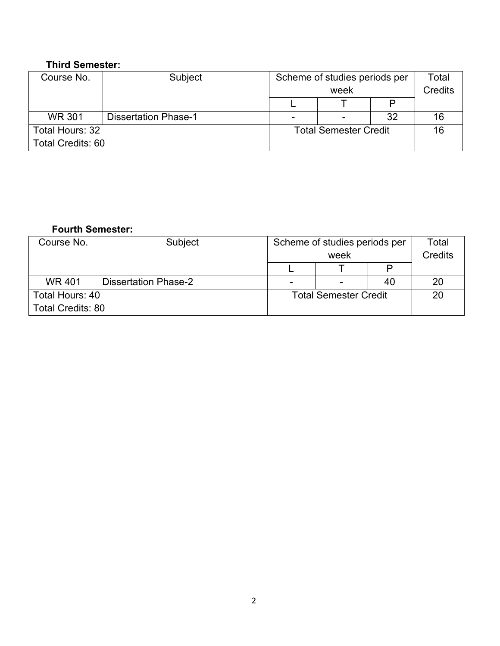### **Third Semester:**

| Course No.               | Subject                     | Scheme of studies periods per |  |                | Total |
|--------------------------|-----------------------------|-------------------------------|--|----------------|-------|
|                          |                             | week                          |  | <b>Credits</b> |       |
|                          |                             |                               |  |                |       |
| <b>WR 301</b>            | <b>Dissertation Phase-1</b> |                               |  | -32            | 16    |
| Total Hours: 32          |                             | <b>Total Semester Credit</b>  |  |                | 16    |
| <b>Total Credits: 60</b> |                             |                               |  |                |       |

# **Fourth Semester:**

| Course No.               | Subject                     | Scheme of studies periods per |  |                | Total |
|--------------------------|-----------------------------|-------------------------------|--|----------------|-------|
|                          |                             | week                          |  | <b>Credits</b> |       |
|                          |                             |                               |  | D              |       |
| <b>WR401</b>             | <b>Dissertation Phase-2</b> |                               |  | 40             | 20    |
| Total Hours: 40          |                             | <b>Total Semester Credit</b>  |  |                | 20    |
| <b>Total Credits: 80</b> |                             |                               |  |                |       |